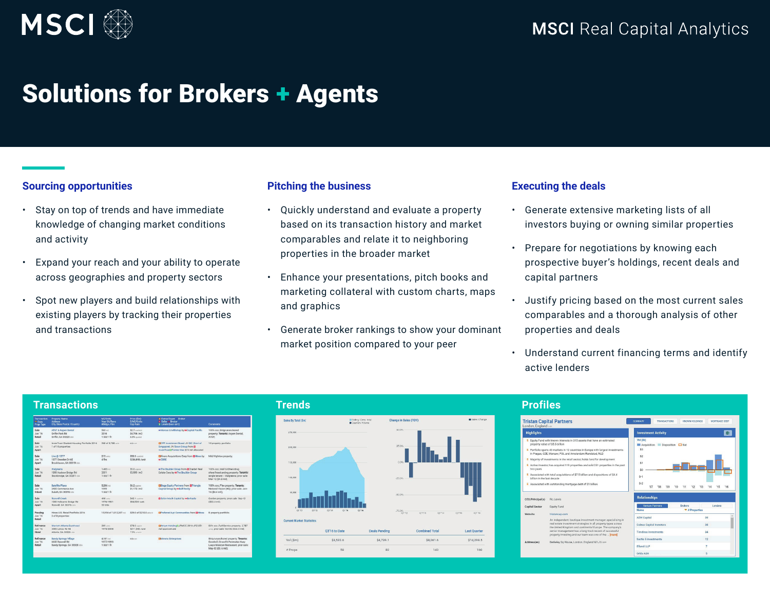

## Solutions for Brokers + Agents

## **Sourcing opportunities**

- Stay on top of trends and have immediate knowledge of changing market conditions and activity
- Expand your reach and your ability to operate across geographies and property sectors
- Spot new players and build relationships with existing players by tracking their properties and transactions

### **Pitching the business**

- Quickly understand and evaluate a property based on its transaction history and market comparables and relate it to neighboring properties in the broader market
- Enhance your presentations, pitch books and marketing collateral with custom charts, maps and graphics
- Generate broker rankings to show your dominant market position compared to your peer

#### **Executing the deals**

- Generate extensive marketing lists of all investors buying or owning similar properties
- Prepare for negotiations by knowing each prospective buyer's holdings, recent deals and capital partners
- Justify pricing based on the most current sales comparables and a thorough analysis of other properties and deals
- Understand current financing terms and identify active lenders

| <b>Transactions</b>                 |                                                                                    |                                            |                                                  |                                                                                                                           |                                                                                                                                       |                                                    | <b>Trends</b>                          |                       |                       |                     |                                           | <b>Profiles</b>                                                                         |  |
|-------------------------------------|------------------------------------------------------------------------------------|--------------------------------------------|--------------------------------------------------|---------------------------------------------------------------------------------------------------------------------------|---------------------------------------------------------------------------------------------------------------------------------------|----------------------------------------------------|----------------------------------------|-----------------------|-----------------------|---------------------|-------------------------------------------|-----------------------------------------------------------------------------------------|--|
| <sup>w</sup> Date<br>Prop Type      | <b>Transaction Property Name</b><br>Address<br>City, State Postal /Country         | M2/Units<br>Year Bit/Reno<br>#Bldgs / Film | Price (\$m)<br>S/M2/Units<br>Cap Rate            | <b>Bi Owner/Buyer</b> Broker<br><b>B</b> Soller # Broker<br>\$ Lender(loan amt)                                           | Comments                                                                                                                              | Sales By Total (\$m)                               | Rolling (2-ms, lots)<br>Duarery Volume | Change in Sales (YOY) |                       | Sales Change        |                                           | <b>Tristan Capital Pa</b><br>London, England car                                        |  |
| Sale<br><b>Jun '16</b><br>Retail    | AT&T & Aspen Dental<br>Griffin Park Rd<br>Griffin, GA 30223 uss                    | $563 - 2$<br>2016<br>1 bld/1 fir           | \$2.7 contents<br>\$4,796 /m2<br>6.5% canted     | ** Marcus & Millichap by ** Capital Pacific                                                                               | 100% occ.:Strip/unanchored<br>property: Tenants: Aspen Dental,<br>ATAT:                                                               | 250,000                                            |                                        | 60.0%                 |                       |                     | <b>Highlights</b>                         |                                                                                         |  |
| Sale<br><b>Jun 16</b><br>Apart      | InvenTrust Student Housing Portfolio 2016 268 of 3.788 until<br>1 of 18 properties |                                            | n/a est                                          | EICPP Investment Board JV GIC (Govt of<br>Singapore) JV Scion Group from El<br>InvenTrustillFannie Mae \$74 mil allocated | 18 property portfolio.                                                                                                                | 200,000                                            |                                        | 25.0%                 |                       |                     |                                           | E Equity Fund with known is<br>property value of \$5.5 bill<br>Portfolio spans 43 marke |  |
| Sale<br>Jun 16<br>Apart             | Live @ 1377<br>1377 Dreaden Dr NF<br>Repokhayen, GA 30319 USA                      | $215$ units<br>$4$ firs                    | \$50.9 contest<br>\$236,908 /unit                | EMivero Acquisitions Corp from Et-lines by Mid/Highrise property:<br><b>HICRRE</b>                                        |                                                                                                                                       | 150,000                                            |                                        | 0.0%                  |                       |                     |                                           | in Progue, CZE, Warsaw, P<br>Majority of investments is<br>Active investor, has acqui   |  |
| Sale<br><b>Jun 16</b><br>Retail     | Walgreens<br>1955 Hudson Bridge Rd<br>Stockbridge, GA 30281 USA                    | $1.405 - 2$<br>2001<br>1 bld/1 fir         | \$5.0 approx<br>\$2.550/m2                       | ++ The Boulder Group from ElCharbel Real<br>Estate Corp by #The Boulder Group                                             | 100% cos Mall & Other/drug<br>store/freestanding property: Tenants:<br>single tenant -- Walgreens: prior safe:<br>Mar-12 (\$4.3 mill: | 100,000                                            |                                        | $25.0\%$              |                       |                     | two years                                 | Associated with total acc<br>billion in the last decade                                 |  |
| Sale<br><b>Jun '16</b><br>Indust    | Satellite Place<br>2435 Commerce Ave<br>Duluth, GA 30096 USA                       | $5.286 - 1$<br>1999<br>1 bld/1 fir         | \$6.2 opportun<br>\$1,173/m2                     | EStage Equity Partners from ElTriangle<br>Capital Group by ++Bull Realty                                                  | 100% ooo. Flex property: Tenants:<br>National Vision (HQ); prior sale; Jan-<br>$16(54.4 \text{ mJ})$ ;                                | 50,000                                             |                                        | $-50.0%$              |                       |                     |                                           | Associated with outstand                                                                |  |
| Sale<br><b>Jun '16</b><br>Apart     | <b>Roswell Creek</b><br>1000 Holcomb Bridge Rd<br>Roswell, GA 30076 USA            | 498 min<br>1076/1081<br>53 blds            | \$42.1 content<br>\$84,538 / unit                | <b>B</b> Solon Mack Capital by +4Berkadia                                                                                 | Garden property; prior sale: Sep-12<br>$(522.4 \text{ mh})$                                                                           |                                                    |                                        |                       |                       |                     | CEO/Principal(s)<br><b>Capital Sector</b> | Ric Lewis<br>Equity Fu                                                                  |  |
| Pending<br><b>Jun '16</b><br>Retail | Hines U.S. Retail Portfolio 2016<br>2 of 8 properties                              |                                            | 15/954 of 1.012.207 = 2 \$29.0 of \$210.0 attent | CPreferred Apt Communities from ED-lines B property portfolio.                                                            |                                                                                                                                       | 01'12<br>01'12<br><b>Current Market Statistics</b> | 01'14<br>$-0115$<br>0170               | .75.0%                | OT13<br>01'14         | 0115<br>0116        | Website                                   | tristanca<br>An indep                                                                   |  |
| Refinance<br><b>Jun 16</b><br>Hotel | Maniett Atlanta Buckhead<br>3405 Lenox Rd NE<br>Atlanta, GA 30326 uta              | 369 unts<br>1975/2008                      | \$78.0 approx<br>\$211,382 / unit<br>7.5% ununta | EMarkum HoldingSLIPMCC 2016-JP2 \$51<br>mil approximate                                                                   | 80% occ./Full-Service property; 2,787<br>untic prior sale: Oct-06 (\$44.0 mil);                                                       |                                                    | O3'16 to Date                          | Deals Pending         | <b>Combined Total</b> | <b>Last Quarter</b> |                                           | real estar<br>the Unite<br>senior m<br>property                                         |  |
| Refinance<br>Jun '16<br>Retail      | Sandy Springs Village<br>6650 Roowell Rd<br>Sandy Springs, GA 30328 USA            | $4.181 - 2$<br>1977/1999<br>1 bld/1 fir    | fid a con-                                       | <b>EX</b> Amms Enterprises                                                                                                | Strip/unanchored property; Tenants:<br>Goodwill, CrossFit Perimeter, Huey<br>Lueva Mexican Restaurant: prior sale:                    | Vol (Sm)                                           | \$3.522.6                              | \$4,739.1             | \$8,261.6             | S14.298.5           | Address(es)                               | Berkeley                                                                                |  |
|                                     |                                                                                    |                                            |                                                  |                                                                                                                           | May 02 (\$5.6 mill):                                                                                                                  | # Props                                            | 58                                     | 82                    | 140                   | 160                 |                                           |                                                                                         |  |